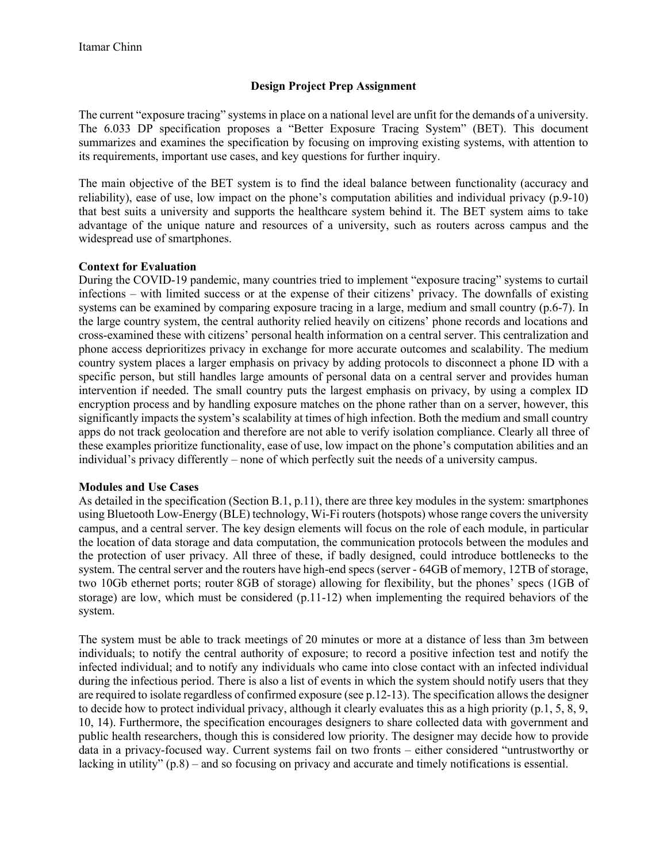## **Design Project Prep Assignment**

The current "exposure tracing" systems in place on a national level are unfit for the demands of a university. The 6.033 DP specification proposes a "Better Exposure Tracing System" (BET). This document summarizes and examines the specification by focusing on improving existing systems, with attention to its requirements, important use cases, and key questions for further inquiry.

The main objective of the BET system is to find the ideal balance between functionality (accuracy and reliability), ease of use, low impact on the phone's computation abilities and individual privacy (p.9-10) that best suits a university and supports the healthcare system behind it. The BET system aims to take advantage of the unique nature and resources of a university, such as routers across campus and the widespread use of smartphones.

## **Context for Evaluation**

During the COVID-19 pandemic, many countries tried to implement "exposure tracing" systems to curtail infections – with limited success or at the expense of their citizens' privacy. The downfalls of existing systems can be examined by comparing exposure tracing in a large, medium and small country (p.6-7). In the large country system, the central authority relied heavily on citizens' phone records and locations and cross-examined these with citizens' personal health information on a central server. This centralization and phone access deprioritizes privacy in exchange for more accurate outcomes and scalability. The medium country system places a larger emphasis on privacy by adding protocols to disconnect a phone ID with a specific person, but still handles large amounts of personal data on a central server and provides human intervention if needed. The small country puts the largest emphasis on privacy, by using a complex ID encryption process and by handling exposure matches on the phone rather than on a server, however, this significantly impacts the system's scalability at times of high infection. Both the medium and small country apps do not track geolocation and therefore are not able to verify isolation compliance. Clearly all three of these examples prioritize functionality, ease of use, low impact on the phone's computation abilities and an individual's privacy differently – none of which perfectly suit the needs of a university campus.

## **Modules and Use Cases**

As detailed in the specification (Section B.1, p.11), there are three key modules in the system: smartphones using Bluetooth Low-Energy (BLE) technology, Wi-Fi routers (hotspots) whose range covers the university campus, and a central server. The key design elements will focus on the role of each module, in particular the location of data storage and data computation, the communication protocols between the modules and the protection of user privacy. All three of these, if badly designed, could introduce bottlenecks to the system. The central server and the routers have high-end specs (server - 64GB of memory, 12TB of storage, two 10Gb ethernet ports; router 8GB of storage) allowing for flexibility, but the phones' specs (1GB of storage) are low, which must be considered (p.11-12) when implementing the required behaviors of the system.

The system must be able to track meetings of 20 minutes or more at a distance of less than 3m between individuals; to notify the central authority of exposure; to record a positive infection test and notify the infected individual; and to notify any individuals who came into close contact with an infected individual during the infectious period. There is also a list of events in which the system should notify users that they are required to isolate regardless of confirmed exposure (see p.12-13). The specification allows the designer to decide how to protect individual privacy, although it clearly evaluates this as a high priority (p.1, 5, 8, 9, 10, 14). Furthermore, the specification encourages designers to share collected data with government and public health researchers, though this is considered low priority. The designer may decide how to provide data in a privacy-focused way. Current systems fail on two fronts – either considered "untrustworthy or lacking in utility" (p.8) – and so focusing on privacy and accurate and timely notifications is essential.